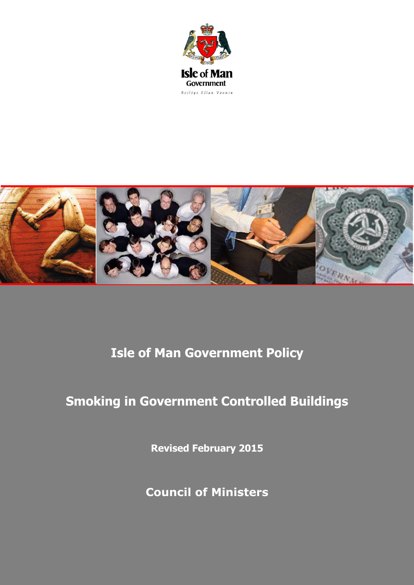



**Isle of Man Government Policy** 

# **Smoking in Government Controlled Buildings**

**Revised February 2015**

**Council of Ministers**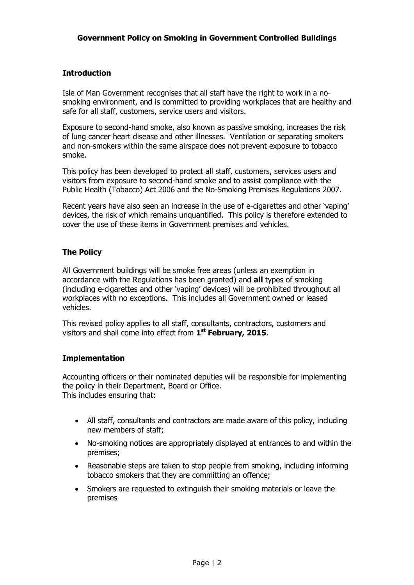## **Introduction**

Isle of Man Government recognises that all staff have the right to work in a nosmoking environment, and is committed to providing workplaces that are healthy and safe for all staff, customers, service users and visitors.

Exposure to second-hand smoke, also known as passive smoking, increases the risk of lung cancer heart disease and other illnesses. Ventilation or separating smokers and non-smokers within the same airspace does not prevent exposure to tobacco smoke.

This policy has been developed to protect all staff, customers, services users and visitors from exposure to second-hand smoke and to assist compliance with the Public Health (Tobacco) Act 2006 and the No-Smoking Premises Regulations 2007.

Recent years have also seen an increase in the use of e-cigarettes and other 'vaping' devices, the risk of which remains unquantified. This policy is therefore extended to cover the use of these items in Government premises and vehicles.

### **The Policy**

All Government buildings will be smoke free areas (unless an exemption in accordance with the Regulations has been granted) and **all** types of smoking (including e-cigarettes and other 'vaping' devices) will be prohibited throughout all workplaces with no exceptions. This includes all Government owned or leased vehicles.

This revised policy applies to all staff, consultants, contractors, customers and visitors and shall come into effect from **1 st February, 2015**.

#### **Implementation**

Accounting officers or their nominated deputies will be responsible for implementing the policy in their Department, Board or Office. This includes ensuring that:

- All staff, consultants and contractors are made aware of this policy, including new members of staff;
- No-smoking notices are appropriately displayed at entrances to and within the premises;
- Reasonable steps are taken to stop people from smoking, including informing tobacco smokers that they are committing an offence;
- Smokers are requested to extinguish their smoking materials or leave the premises